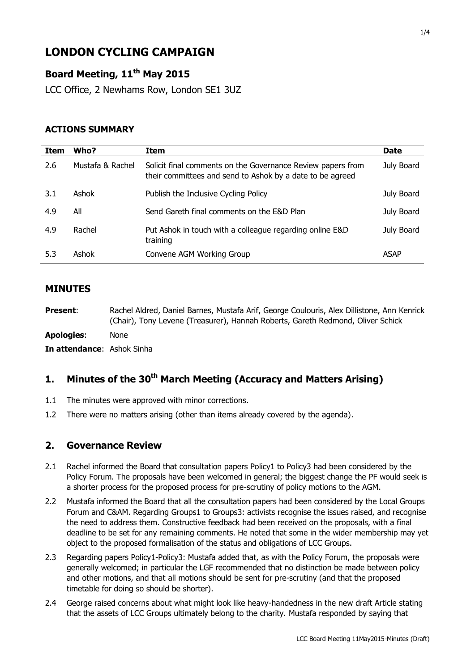# **LONDON CYCLING CAMPAIGN**

## **Board Meeting, 11th May 2015**

LCC Office, 2 Newhams Row, London SE1 3UZ

### **ACTIONS SUMMARY**

| <b>Item</b> | Who?             | <b>Item</b>                                                                                                              | <b>Date</b> |
|-------------|------------------|--------------------------------------------------------------------------------------------------------------------------|-------------|
| 2.6         | Mustafa & Rachel | Solicit final comments on the Governance Review papers from<br>their committees and send to Ashok by a date to be agreed | July Board  |
| 3.1         | Ashok            | Publish the Inclusive Cycling Policy                                                                                     | July Board  |
| 4.9         | All              | Send Gareth final comments on the E&D Plan                                                                               | July Board  |
| 4.9         | Rachel           | Put Ashok in touch with a colleague regarding online E&D<br>training                                                     | July Board  |
| 5.3         | Ashok            | Convene AGM Working Group                                                                                                | <b>ASAP</b> |

### **MINUTES**

**Present**: Rachel Aldred, Daniel Barnes, Mustafa Arif, George Coulouris, Alex Dillistone, Ann Kenrick (Chair), Tony Levene (Treasurer), Hannah Roberts, Gareth Redmond, Oliver Schick

**Apologies**: None

**In attendance**: Ashok Sinha

### **1. Minutes of the 30th March Meeting (Accuracy and Matters Arising)**

- 1.1 The minutes were approved with minor corrections.
- 1.2 There were no matters arising (other than items already covered by the agenda).

### **2. Governance Review**

- 2.1 Rachel informed the Board that consultation papers Policy1 to Policy3 had been considered by the Policy Forum. The proposals have been welcomed in general; the biggest change the PF would seek is a shorter process for the proposed process for pre-scrutiny of policy motions to the AGM.
- 2.2 Mustafa informed the Board that all the consultation papers had been considered by the Local Groups Forum and C&AM. Regarding Groups1 to Groups3: activists recognise the issues raised, and recognise the need to address them. Constructive feedback had been received on the proposals, with a final deadline to be set for any remaining comments. He noted that some in the wider membership may yet object to the proposed formalisation of the status and obligations of LCC Groups.
- 2.3 Regarding papers Policy1-Policy3: Mustafa added that, as with the Policy Forum, the proposals were generally welcomed; in particular the LGF recommended that no distinction be made between policy and other motions, and that all motions should be sent for pre-scrutiny (and that the proposed timetable for doing so should be shorter).
- 2.4 George raised concerns about what might look like heavy-handedness in the new draft Article stating that the assets of LCC Groups ultimately belong to the charity. Mustafa responded by saying that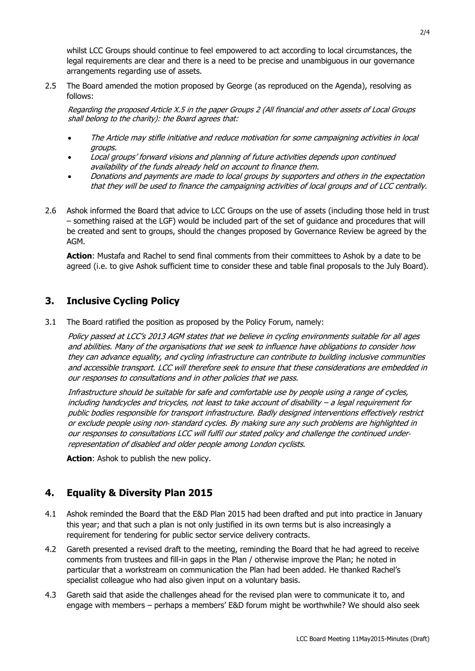whilst LCC Groups should continue to feel empowered to act according to local circumstances, the legal requirements are clear and there is a need to be precise and unambiguous in our governance arrangements regarding use of assets.

2.5 The Board amended the motion proposed by George (as reproduced on the Agenda), resolving as follows:

Regarding the proposed Article X.5 in the paper Groups 2 (All financial and other assets of Local Groups shall belong to the charity): the Board agrees that:

- The Article may stifle initiative and reduce motivation for some campaigning activities in local groups.
- Local groups' forward visions and planning of future activities depends upon continued availability of the funds already held on account to finance them.
- Donations and payments are made to local groups by supporters and others in the expectation that they will be used to finance the campaigning activities of local groups and of LCC centrally.
- 2.6 Ashok informed the Board that advice to LCC Groups on the use of assets (including those held in trust – something raised at the LGF) would be included part of the set of guidance and procedures that will be created and sent to groups, should the changes proposed by Governance Review be agreed by the AGM.

**Action**: Mustafa and Rachel to send final comments from their committees to Ashok by a date to be agreed (i.e. to give Ashok sufficient time to consider these and table final proposals to the July Board).

### **3. Inclusive Cycling Policy**

3.1 The Board ratified the position as proposed by the Policy Forum, namely:

Policy passed at LCC's 2013 AGM states that we believe in cycling environments suitable for all ages and abilities. Many of the organisations that we seek to influence have obligations to consider how they can advance equality, and cycling infrastructure can contribute to building inclusive communities and accessible transport. LCC will therefore seek to ensure that these considerations are embedded in our responses to consultations and in other policies that we pass.

Infrastructure should be suitable for safe and comfortable use by people using a range of cycles, including handcycles and tricycles, not least to take account of disability – a legal requirement for public bodies responsible for transport infrastructure. Badly designed interventions effectively restrict or exclude people using non‐ standard cycles. By making sure any such problems are highlighted in our responses to consultations LCC will fulfil our stated policy and challenge the continued under‐ representation of disabled and older people among London cyclists.

**Action**: Ashok to publish the new policy.

### **4. Equality & Diversity Plan 2015**

- 4.1 Ashok reminded the Board that the E&D Plan 2015 had been drafted and put into practice in January this year; and that such a plan is not only justified in its own terms but is also increasingly a requirement for tendering for public sector service delivery contracts.
- 4.2 Gareth presented a revised draft to the meeting, reminding the Board that he had agreed to receive comments from trustees and fill-in gaps in the Plan / otherwise improve the Plan; he noted in particular that a workstream on communication the Plan had been added. He thanked Rachel's specialist colleague who had also given input on a voluntary basis.
- 4.3 Gareth said that aside the challenges ahead for the revised plan were to communicate it to, and engage with members – perhaps a members' E&D forum might be worthwhile? We should also seek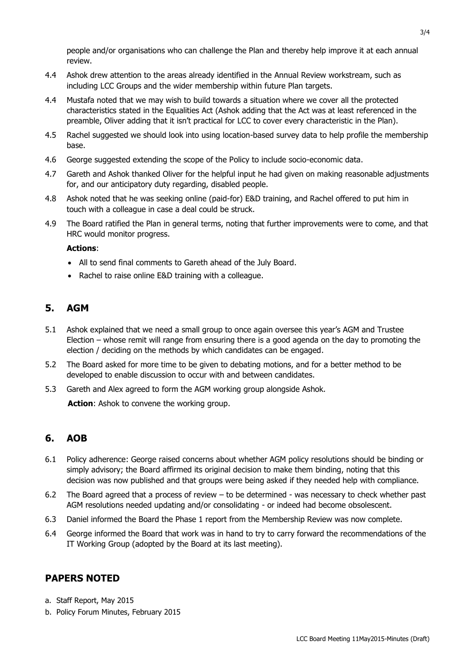people and/or organisations who can challenge the Plan and thereby help improve it at each annual review.

- 4.4 Ashok drew attention to the areas already identified in the Annual Review workstream, such as including LCC Groups and the wider membership within future Plan targets.
- 4.4 Mustafa noted that we may wish to build towards a situation where we cover all the protected characteristics stated in the Equalities Act (Ashok adding that the Act was at least referenced in the preamble, Oliver adding that it isn't practical for LCC to cover every characteristic in the Plan).
- 4.5 Rachel suggested we should look into using location-based survey data to help profile the membership base.
- 4.6 George suggested extending the scope of the Policy to include socio-economic data.
- 4.7 Gareth and Ashok thanked Oliver for the helpful input he had given on making reasonable adjustments for, and our anticipatory duty regarding, disabled people.
- 4.8 Ashok noted that he was seeking online (paid-for) E&D training, and Rachel offered to put him in touch with a colleague in case a deal could be struck.
- 4.9 The Board ratified the Plan in general terms, noting that further improvements were to come, and that HRC would monitor progress.

#### **Actions**:

- All to send final comments to Gareth ahead of the July Board.
- Rachel to raise online E&D training with a colleague.

### **5. AGM**

- 5.1 Ashok explained that we need a small group to once again oversee this year's AGM and Trustee Election – whose remit will range from ensuring there is a good agenda on the day to promoting the election / deciding on the methods by which candidates can be engaged.
- 5.2 The Board asked for more time to be given to debating motions, and for a better method to be developed to enable discussion to occur with and between candidates.
- 5.3 Gareth and Alex agreed to form the AGM working group alongside Ashok.

**Action**: Ashok to convene the working group.

### **6. AOB**

- 6.1 Policy adherence: George raised concerns about whether AGM policy resolutions should be binding or simply advisory; the Board affirmed its original decision to make them binding, noting that this decision was now published and that groups were being asked if they needed help with compliance.
- 6.2 The Board agreed that a process of review to be determined was necessary to check whether past AGM resolutions needed updating and/or consolidating - or indeed had become obsolescent.
- 6.3 Daniel informed the Board the Phase 1 report from the Membership Review was now complete.
- 6.4 George informed the Board that work was in hand to try to carry forward the recommendations of the IT Working Group (adopted by the Board at its last meeting).

### **PAPERS NOTED**

- a. Staff Report, May 2015
- b. Policy Forum Minutes, February 2015